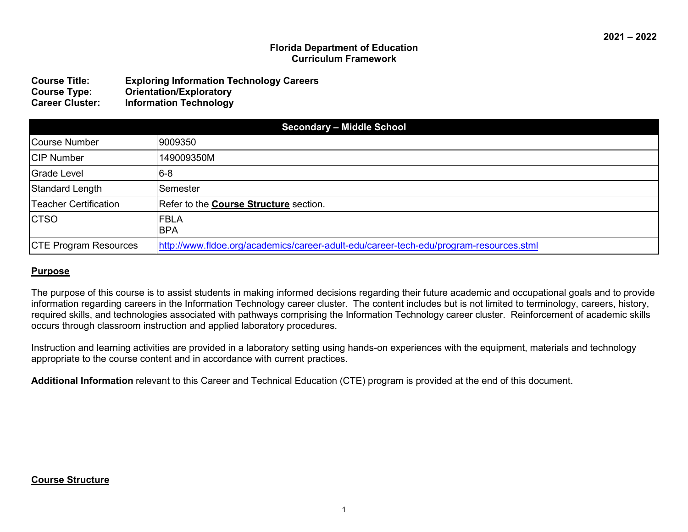#### **Florida Department of Education Curriculum Framework**

| <b>Course Title:</b>   | <b>Exploring Information Technology Careers</b> |
|------------------------|-------------------------------------------------|
| <b>Course Type:</b>    | <b>Orientation/Exploratory</b>                  |
| <b>Career Cluster:</b> | <b>Information Technology</b>                   |

| <b>Secondary - Middle School</b> |                                                                                        |  |
|----------------------------------|----------------------------------------------------------------------------------------|--|
| Course Number                    | 9009350                                                                                |  |
| <b>CIP Number</b>                | 149009350M                                                                             |  |
| Grade Level                      | $ 6-8 $                                                                                |  |
| Standard Length                  | Semester                                                                               |  |
| <b>Teacher Certification</b>     | Refer to the Course Structure section.                                                 |  |
| <b>CTSO</b>                      | <b>FBLA</b><br><b>BPA</b>                                                              |  |
| <b>CTE Program Resources</b>     | http://www.fldoe.org/academics/career-adult-edu/career-tech-edu/program-resources.stml |  |

#### **Purpose**

The purpose of this course is to assist students in making informed decisions regarding their future academic and occupational goals and to provide information regarding careers in the Information Technology career cluster. The content includes but is not limited to terminology, careers, history, required skills, and technologies associated with pathways comprising the Information Technology career cluster. Reinforcement of academic skills occurs through classroom instruction and applied laboratory procedures.

Instruction and learning activities are provided in a laboratory setting using hands-on experiences with the equipment, materials and technology appropriate to the course content and in accordance with current practices.

**Additional Information** relevant to this Career and Technical Education (CTE) program is provided at the end of this document.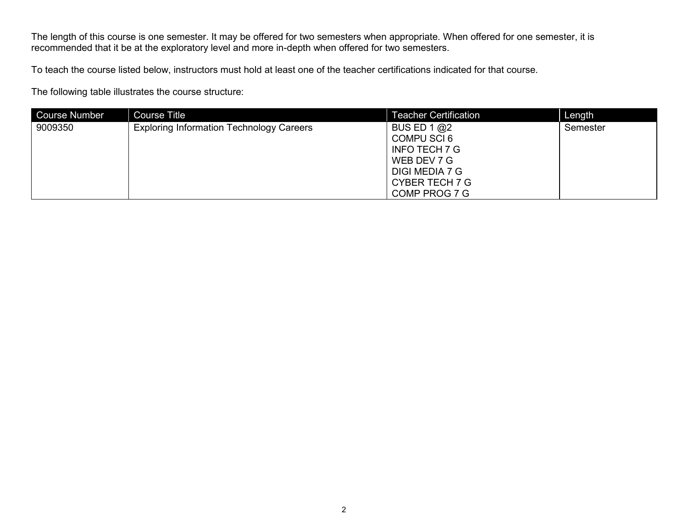The length of this course is one semester. It may be offered for two semesters when appropriate. When offered for one semester, it is recommended that it be at the exploratory level and more in-depth when offered for two semesters.

To teach the course listed below, instructors must hold at least one of the teacher certifications indicated for that course.

The following table illustrates the course structure:

| <b>Course Number</b> | <b>Course Title</b>                             | <b>Teacher Certification</b>                                                                                                    | Length   |
|----------------------|-------------------------------------------------|---------------------------------------------------------------------------------------------------------------------------------|----------|
| 9009350              | <b>Exploring Information Technology Careers</b> | BUS ED 1 $@2$<br>COMPU SCI 6<br><b>INFO TECH 7 G</b><br>WEB DEV 7 G<br>DIGI MEDIA 7 G<br><b>CYBER TECH 7 G</b><br>COMP PROG 7 G | Semester |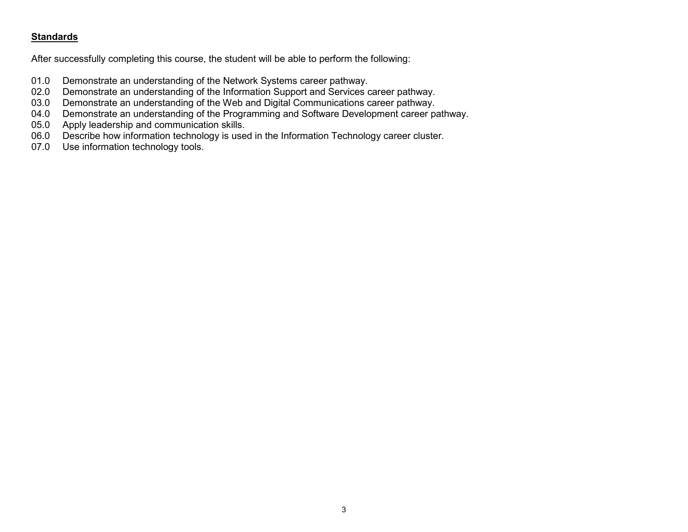## **Standards**

After successfully completing this course, the student will be able to perform the following:

- 01.0 Demonstrate an understanding of the Network Systems career pathway.<br>02.0 Demonstrate an understanding of the Information Support and Services of
- 02.0 Demonstrate an understanding of the Information Support and Services career pathway.<br>03.0 Demonstrate an understanding of the Web and Digital Communications career pathway.
- 03.0 Demonstrate an understanding of the Web and Digital Communications career pathway.<br>04.0 Demonstrate an understanding of the Programming and Software Development career p
- 04.0 Demonstrate an understanding of the Programming and Software Development career pathway.<br>05.0 Apply leadership and communication skills.
- 05.0 Apply leadership and communication skills.<br>06.0 Describe how information technology is use
- 06.0 Describe how information technology is used in the Information Technology career cluster.<br>07.0 Use information technology tools.
- Use information technology tools.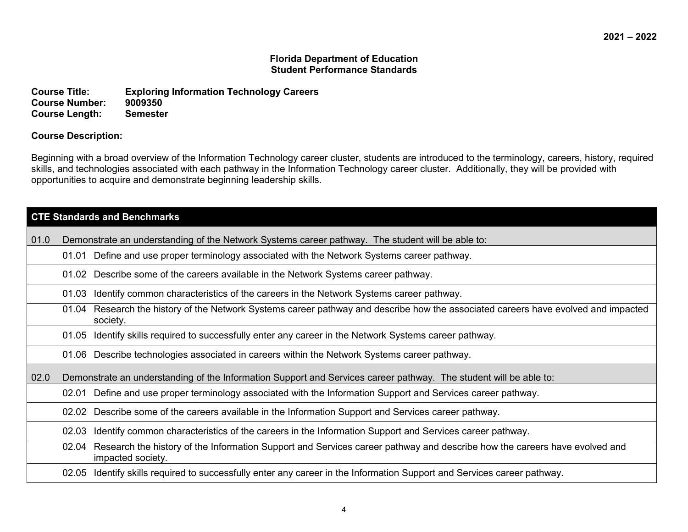#### **Florida Department of Education Student Performance Standards**

**Course Title: Exploring Information Technology Careers Course Number: 9009350 Course Length:** 

#### **Course Description:**

Beginning with a broad overview of the Information Technology career cluster, students are introduced to the terminology, careers, history, required skills, and technologies associated with each pathway in the Information Technology career cluster. Additionally, they will be provided with opportunities to acquire and demonstrate beginning leadership skills.

|      | <b>CTE Standards and Benchmarks</b> |                                                                                                                                                      |  |
|------|-------------------------------------|------------------------------------------------------------------------------------------------------------------------------------------------------|--|
| 01.0 |                                     | Demonstrate an understanding of the Network Systems career pathway. The student will be able to:                                                     |  |
|      |                                     | 01.01 Define and use proper terminology associated with the Network Systems career pathway.                                                          |  |
|      |                                     | 01.02 Describe some of the careers available in the Network Systems career pathway.                                                                  |  |
|      | 01.03                               | Identify common characteristics of the careers in the Network Systems career pathway.                                                                |  |
|      |                                     | 01.04 Research the history of the Network Systems career pathway and describe how the associated careers have evolved and impacted<br>society.       |  |
|      | 01.05                               | Identify skills required to successfully enter any career in the Network Systems career pathway.                                                     |  |
|      |                                     | 01.06 Describe technologies associated in careers within the Network Systems career pathway.                                                         |  |
| 02.0 |                                     | Demonstrate an understanding of the Information Support and Services career pathway. The student will be able to:                                    |  |
|      |                                     | 02.01 Define and use proper terminology associated with the Information Support and Services career pathway.                                         |  |
|      |                                     | 02.02 Describe some of the careers available in the Information Support and Services career pathway.                                                 |  |
|      | 02.03                               | Identify common characteristics of the careers in the Information Support and Services career pathway.                                               |  |
|      |                                     | 02.04 Research the history of the Information Support and Services career pathway and describe how the careers have evolved and<br>impacted society. |  |
|      | 02.05                               | Identify skills required to successfully enter any career in the Information Support and Services career pathway.                                    |  |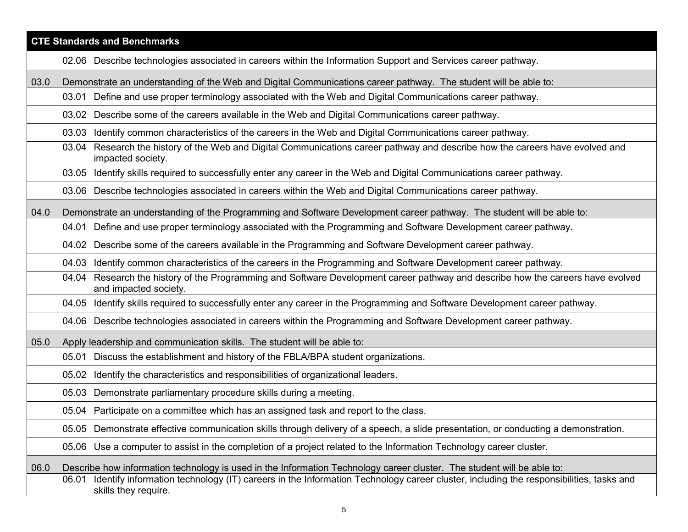|      | <b>CTE Standards and Benchmarks</b>                                                                                                                                   |  |  |
|------|-----------------------------------------------------------------------------------------------------------------------------------------------------------------------|--|--|
|      | 02.06 Describe technologies associated in careers within the Information Support and Services career pathway.                                                         |  |  |
| 03.0 | Demonstrate an understanding of the Web and Digital Communications career pathway. The student will be able to:                                                       |  |  |
|      | 03.01 Define and use proper terminology associated with the Web and Digital Communications career pathway.                                                            |  |  |
|      | 03.02 Describe some of the careers available in the Web and Digital Communications career pathway.                                                                    |  |  |
|      | 03.03 Identify common characteristics of the careers in the Web and Digital Communications career pathway.                                                            |  |  |
|      | Research the history of the Web and Digital Communications career pathway and describe how the careers have evolved and<br>03.04<br>impacted society.                 |  |  |
|      | Identify skills required to successfully enter any career in the Web and Digital Communications career pathway.<br>03.05                                              |  |  |
|      | 03.06 Describe technologies associated in careers within the Web and Digital Communications career pathway.                                                           |  |  |
| 04.0 | Demonstrate an understanding of the Programming and Software Development career pathway. The student will be able to:                                                 |  |  |
|      | Define and use proper terminology associated with the Programming and Software Development career pathway.<br>04.01                                                   |  |  |
|      | 04.02 Describe some of the careers available in the Programming and Software Development career pathway.                                                              |  |  |
|      | Identify common characteristics of the careers in the Programming and Software Development career pathway.<br>04.03                                                   |  |  |
|      | Research the history of the Programming and Software Development career pathway and describe how the careers have evolved<br>04.04<br>and impacted society.           |  |  |
|      | Identify skills required to successfully enter any career in the Programming and Software Development career pathway.<br>04.05                                        |  |  |
|      | 04.06 Describe technologies associated in careers within the Programming and Software Development career pathway.                                                     |  |  |
| 05.0 | Apply leadership and communication skills. The student will be able to:                                                                                               |  |  |
|      | Discuss the establishment and history of the FBLA/BPA student organizations.<br>05.01                                                                                 |  |  |
|      | Identify the characteristics and responsibilities of organizational leaders.<br>05.02                                                                                 |  |  |
|      | 05.03 Demonstrate parliamentary procedure skills during a meeting.                                                                                                    |  |  |
|      | 05.04 Participate on a committee which has an assigned task and report to the class.                                                                                  |  |  |
|      | 05.05 Demonstrate effective communication skills through delivery of a speech, a slide presentation, or conducting a demonstration.                                   |  |  |
|      | 05.06 Use a computer to assist in the completion of a project related to the Information Technology career cluster.                                                   |  |  |
| 06.0 | Describe how information technology is used in the Information Technology career cluster. The student will be able to:                                                |  |  |
|      | Identify information technology (IT) careers in the Information Technology career cluster, including the responsibilities, tasks and<br>06.01<br>skills they require. |  |  |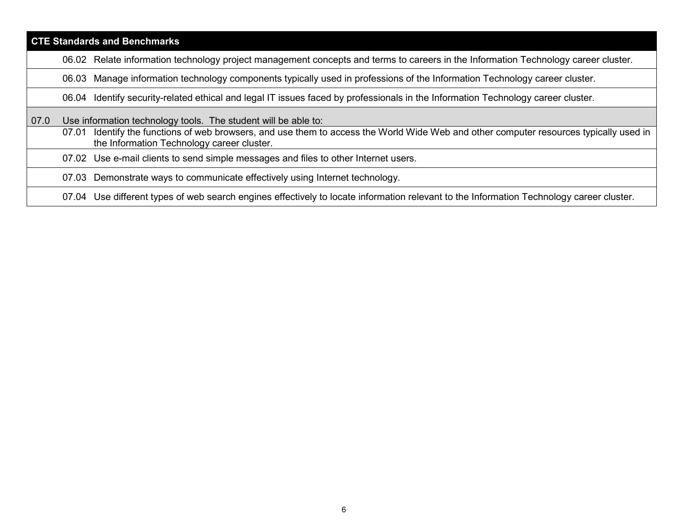| <b>CTE Standards and Benchmarks</b> |       |                                                                                                                                                                                |
|-------------------------------------|-------|--------------------------------------------------------------------------------------------------------------------------------------------------------------------------------|
|                                     |       | 06.02 Relate information technology project management concepts and terms to careers in the Information Technology career cluster.                                             |
|                                     | 06.03 | Manage information technology components typically used in professions of the Information Technology career cluster.                                                           |
|                                     |       | 06.04 Identify security-related ethical and legal IT issues faced by professionals in the Information Technology career cluster.                                               |
| 07.0                                |       | Use information technology tools. The student will be able to:                                                                                                                 |
|                                     | 07.01 | Identify the functions of web browsers, and use them to access the World Wide Web and other computer resources typically used in<br>the Information Technology career cluster. |
|                                     |       | 07.02 Use e-mail clients to send simple messages and files to other Internet users.                                                                                            |
|                                     |       | 07.03 Demonstrate ways to communicate effectively using Internet technology.                                                                                                   |
|                                     |       | 07.04 Use different types of web search engines effectively to locate information relevant to the Information Technology career cluster.                                       |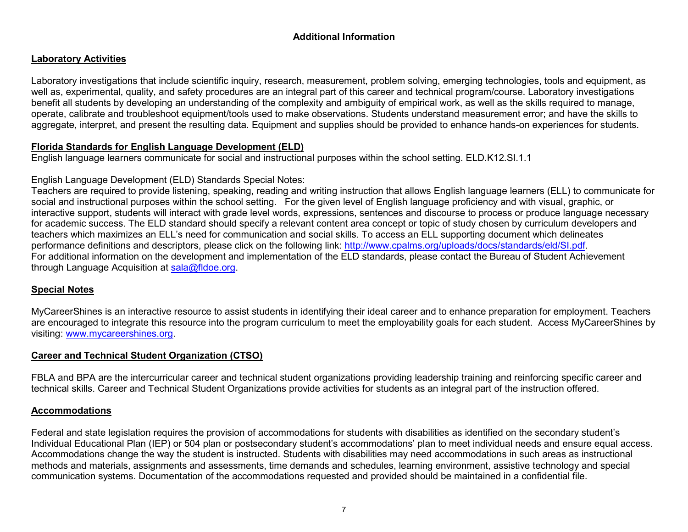# **Additional Information**

# **Laboratory Activities**

Laboratory investigations that include scientific inquiry, research, measurement, problem solving, emerging technologies, tools and equipment, as well as, experimental, quality, and safety procedures are an integral part of this career and technical program/course. Laboratory investigations benefit all students by developing an understanding of the complexity and ambiguity of empirical work, as well as the skills required to manage, operate, calibrate and troubleshoot equipment/tools used to make observations. Students understand measurement error; and have the skills to aggregate, interpret, and present the resulting data. Equipment and supplies should be provided to enhance hands-on experiences for students.

## **Florida Standards for English Language Development (ELD)**

English language learners communicate for social and instructional purposes within the school setting. ELD.K12.SI.1.1

## English Language Development (ELD) Standards Special Notes:

Teachers are required to provide listening, speaking, reading and writing instruction that allows English language learners (ELL) to communicate for social and instructional purposes within the school setting. For the given level of English language proficiency and with visual, graphic, or interactive support, students will interact with grade level words, expressions, sentences and discourse to process or produce language necessary for academic success. The ELD standard should specify a relevant content area concept or topic of study chosen by curriculum developers and teachers which maximizes an ELL's need for communication and social skills. To access an ELL supporting document which delineates performance definitions and descriptors, please click on the following link: [http://www.cpalms.org/uploads/docs/standards/eld/SI.pdf.](http://www.cpalms.org/uploads/docs/standards/eld/SI.pdf) For additional information on the development and implementation of the ELD standards, please contact the Bureau of Student Achievement through Language Acquisition at [sala@fldoe.org.](mailto:sala@fldoe.org)

## **Special Notes**

MyCareerShines is an interactive resource to assist students in identifying their ideal career and to enhance preparation for employment. Teachers are encouraged to integrate this resource into the program curriculum to meet the employability goals for each student. Access MyCareerShines by visiting: [www.mycareershines.org.](http://www.mycareershines.org/)

## **Career and Technical Student Organization (CTSO)**

FBLA and BPA are the intercurricular career and technical student organizations providing leadership training and reinforcing specific career and technical skills. Career and Technical Student Organizations provide activities for students as an integral part of the instruction offered.

## **Accommodations**

Federal and state legislation requires the provision of accommodations for students with disabilities as identified on the secondary student's Individual Educational Plan (IEP) or 504 plan or postsecondary student's accommodations' plan to meet individual needs and ensure equal access. Accommodations change the way the student is instructed. Students with disabilities may need accommodations in such areas as instructional methods and materials, assignments and assessments, time demands and schedules, learning environment, assistive technology and special communication systems. Documentation of the accommodations requested and provided should be maintained in a confidential file.